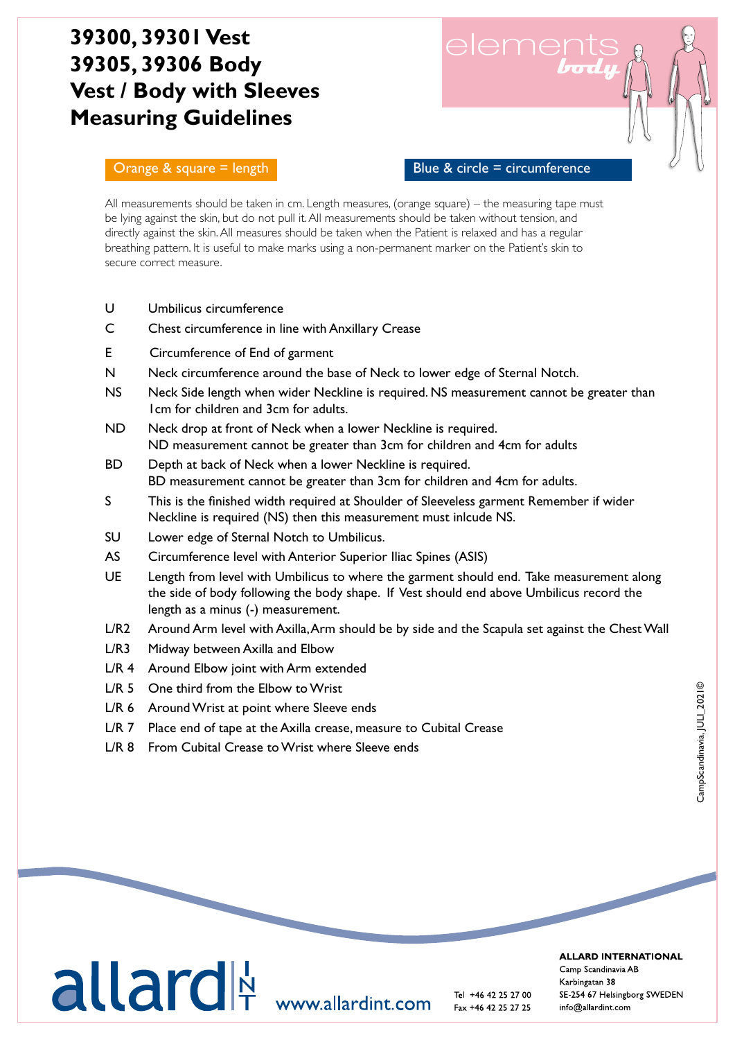# **39300, 39301 Vest 39305, 39306 Body Vest / Body with Sleeves Measuring Guidelines**

### Orange  $\&$  square = length  $\qquad$  Blue  $\&$  circle = circumference

element

All measurements should be taken in cm. Length measures, (orange square) – the measuring tape must be lying against the skin, but do not pull it. All measurements should be taken without tension, and directly against the skin. All measures should be taken when the Patient is relaxed and has a regular breathing pattern. It is useful to make marks using a non-permanent marker on the Patient's skin to secure correct measure.

- U Umbilicus circumference
- C Chest circumference in line with Anxillary Crease
- E Circumference of End of garment
- N Neck circumference around the base of Neck to lower edge of Sternal Notch.
- NS Neck Side length when wider Neckline is required. NS measurement cannot be greater than 1cm for children and 3cm for adults.
- ND Neck drop at front of Neck when a lower Neckline is required. ND measurement cannot be greater than 3cm for children and 4cm for adults
- BD Depth at back of Neck when a lower Neckline is required. BD measurement cannot be greater than 3cm for children and 4cm for adults.
- S This is the finished width required at Shoulder of Sleeveless garment Remember if wider Neckline is required (NS) then this measurement must inlcude NS.
- SU Lower edge of Sternal Notch to Umbilicus.
- AS Circumference level with Anterior Superior Iliac Spines (ASIS)
- UE Length from level with Umbilicus to where the garment should end. Take measurement along the side of body following the body shape. If Vest should end above Umbilicus record the length as a minus (-) measurement.
- L/R2 Around Arm level with Axilla, Arm should be by side and the Scapula set against the Chest Wall
- L/R3 Midway between Axilla and Elbow
- L/R 4 Around Elbow joint with Arm extended
- L/R 5 One third from the Elbow to Wrist
- L/R 6 Around Wrist at point where Sleeve ends
- L/R 7 Place end of tape at the Axilla crease, measure to Cubital Crease
- L/R 8 From Cubital Crease to Wrist where Sleeve ends

Tel

**WAI WIT** 



Camp Scandinavia Ab 042-25 27 00 43 96 66 99 09-350 76 30 23 23 31 20 info@allardint.com

info@camp.ext() info@camp.se info@camp.se info@camp.dk info@camp.dk info@camp.dk info@camp.dk info@camp.no

Fax +46 42 25 27 25